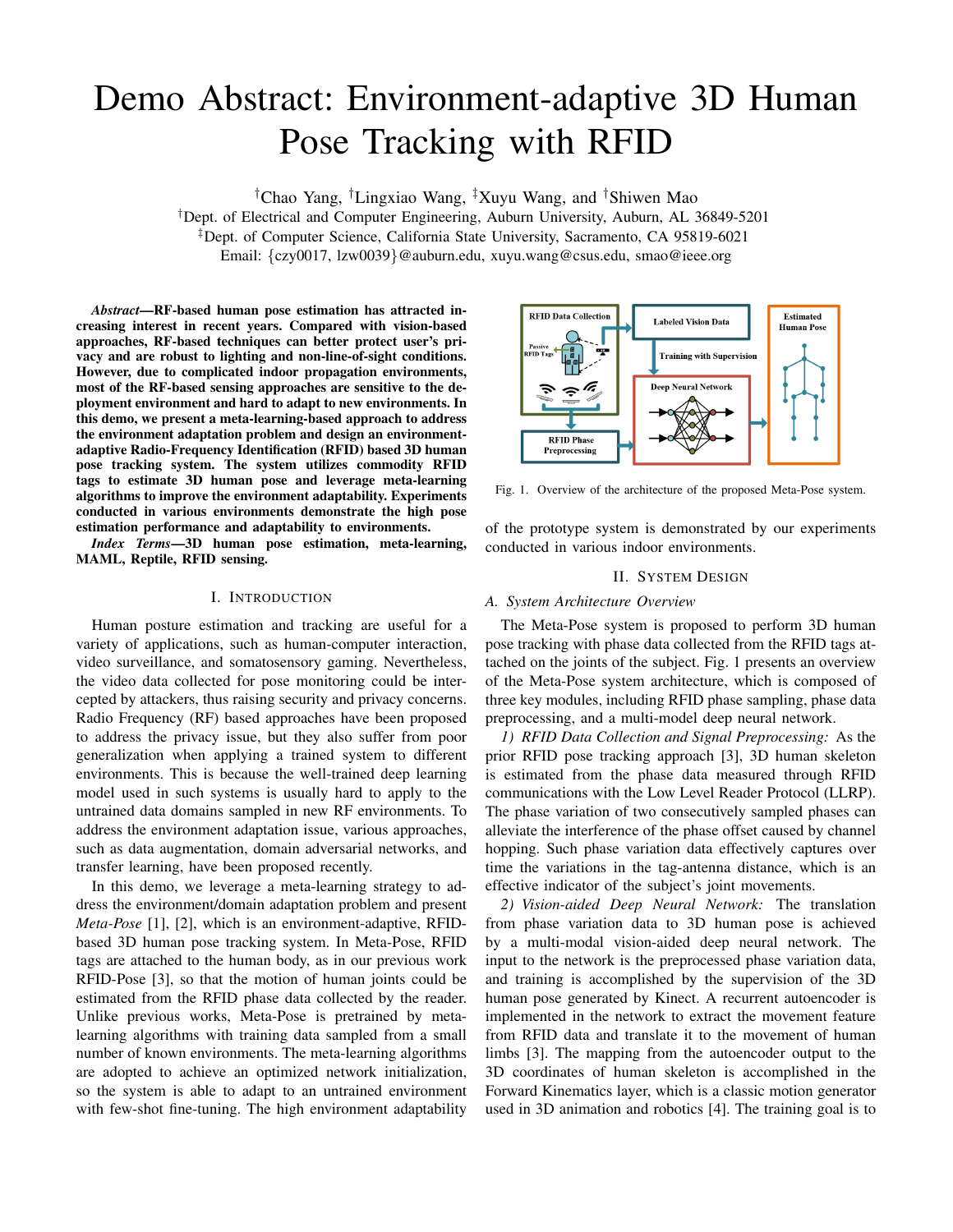# Demo Abstract: Environment-adaptive 3D Human Pose Tracking with RFID

†Chao Yang, †Lingxiao Wang, ‡Xuyu Wang, and †Shiwen Mao

†Dept. of Electrical and Computer Engineering, Auburn University, Auburn, AL 36849-5201 ‡Dept. of Computer Science, California State University, Sacramento, CA 95819-6021

Email: {czy0017, lzw0039}@auburn.edu, xuyu.wang@csus.edu, smao@ieee.org

*Abstract*—RF-based human pose estimation has attracted increasing interest in recent years. Compared with vision-based approaches, RF-based techniques can better protect user's privacy and are robust to lighting and non-line-of-sight conditions. However, due to complicated indoor propagation environments, most of the RF-based sensing approaches are sensitive to the deployment environment and hard to adapt to new environments. In this demo, we present a meta-learning-based approach to address the environment adaptation problem and design an environmentadaptive Radio-Frequency Identification (RFID) based 3D human pose tracking system. The system utilizes commodity RFID tags to estimate 3D human pose and leverage meta-learning algorithms to improve the environment adaptability. Experiments conducted in various environments demonstrate the high pose estimation performance and adaptability to environments.

*Index Terms*—3D human pose estimation, meta-learning, MAML, Reptile, RFID sensing.

### I. INTRODUCTION

Human posture estimation and tracking are useful for a variety of applications, such as human-computer interaction, video surveillance, and somatosensory gaming. Nevertheless, the video data collected for pose monitoring could be intercepted by attackers, thus raising security and privacy concerns. Radio Frequency (RF) based approaches have been proposed to address the privacy issue, but they also suffer from poor generalization when applying a trained system to different environments. This is because the well-trained deep learning model used in such systems is usually hard to apply to the untrained data domains sampled in new RF environments. To address the environment adaptation issue, various approaches, such as data augmentation, domain adversarial networks, and transfer learning, have been proposed recently.

In this demo, we leverage a meta-learning strategy to address the environment/domain adaptation problem and present *Meta-Pose* [1], [2], which is an environment-adaptive, RFIDbased 3D human pose tracking system. In Meta-Pose, RFID tags are attached to the human body, as in our previous work RFID-Pose [3], so that the motion of human joints could be estimated from the RFID phase data collected by the reader. Unlike previous works, Meta-Pose is pretrained by metalearning algorithms with training data sampled from a small number of known environments. The meta-learning algorithms are adopted to achieve an optimized network initialization, so the system is able to adapt to an untrained environment with few-shot fine-tuning. The high environment adaptability



Fig. 1. Overview of the architecture of the proposed Meta-Pose system.

of the prototype system is demonstrated by our experiments conducted in various indoor environments.

## II. SYSTEM DESIGN

## *A. System Architecture Overview*

The Meta-Pose system is proposed to perform 3D human pose tracking with phase data collected from the RFID tags attached on the joints of the subject. Fig. 1 presents an overview of the Meta-Pose system architecture, which is composed of three key modules, including RFID phase sampling, phase data preprocessing, and a multi-model deep neural network.

*1) RFID Data Collection and Signal Preprocessing:* As the prior RFID pose tracking approach [3], 3D human skeleton is estimated from the phase data measured through RFID communications with the Low Level Reader Protocol (LLRP). The phase variation of two consecutively sampled phases can alleviate the interference of the phase offset caused by channel hopping. Such phase variation data effectively captures over time the variations in the tag-antenna distance, which is an effective indicator of the subject's joint movements.

*2) Vision-aided Deep Neural Network:* The translation from phase variation data to 3D human pose is achieved by a multi-modal vision-aided deep neural network. The input to the network is the preprocessed phase variation data, and training is accomplished by the supervision of the 3D human pose generated by Kinect. A recurrent autoencoder is implemented in the network to extract the movement feature from RFID data and translate it to the movement of human limbs [3]. The mapping from the autoencoder output to the 3D coordinates of human skeleton is accomplished in the Forward Kinematics layer, which is a classic motion generator used in 3D animation and robotics [4]. The training goal is to